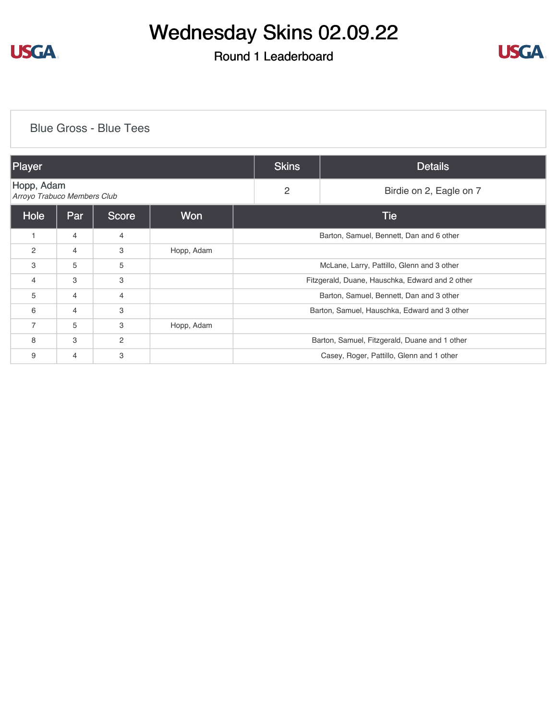

### Round 1 Leaderboard



#### [Blue Gross - Blue Tees](https://cdn2.golfgenius.com/v2tournaments/8201955819319746702?called_from=&round_index=1)

| Player                                    |                |                |            | <b>Skins</b>                                    | <b>Details</b>          |  |
|-------------------------------------------|----------------|----------------|------------|-------------------------------------------------|-------------------------|--|
| Hopp, Adam<br>Arroyo Trabuco Members Club |                |                |            | $\overline{2}$                                  | Birdie on 2, Eagle on 7 |  |
| Hole                                      | Par            | <b>Score</b>   | <b>Won</b> | Tie                                             |                         |  |
| 1                                         | $\overline{4}$ | $\overline{4}$ |            | Barton, Samuel, Bennett, Dan and 6 other        |                         |  |
| $\overline{2}$                            | 4              | 3              | Hopp, Adam |                                                 |                         |  |
| 3                                         | 5              | 5              |            | McLane, Larry, Pattillo, Glenn and 3 other      |                         |  |
| $\overline{4}$                            | 3              | 3              |            | Fitzgerald, Duane, Hauschka, Edward and 2 other |                         |  |
| 5                                         | 4              | $\overline{4}$ |            | Barton, Samuel, Bennett, Dan and 3 other        |                         |  |
| 6                                         | $\overline{4}$ | 3              |            | Barton, Samuel, Hauschka, Edward and 3 other    |                         |  |
| $\overline{7}$                            | 5              | 3              | Hopp, Adam |                                                 |                         |  |
| 8                                         | 3              | $\overline{2}$ |            | Barton, Samuel, Fitzgerald, Duane and 1 other   |                         |  |
| 9                                         | 4              | 3              |            | Casey, Roger, Pattillo, Glenn and 1 other       |                         |  |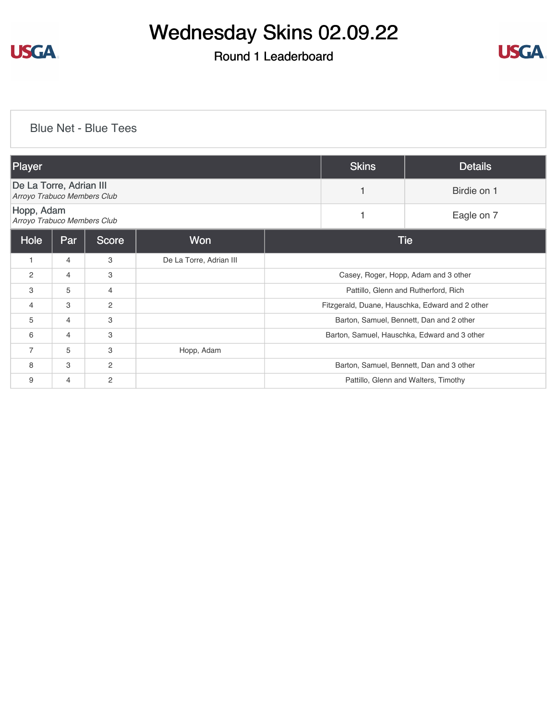

### Round 1 Leaderboard



### [Blue Net - Blue Tees](https://cdn2.golfgenius.com/v2tournaments/8201957019360452752?called_from=&round_index=1)

| Player                                                 |            |                |                         | <b>Skins</b>                                 | <b>Details</b>                                  |                                          |  |
|--------------------------------------------------------|------------|----------------|-------------------------|----------------------------------------------|-------------------------------------------------|------------------------------------------|--|
| De La Torre, Adrian III<br>Arroyo Trabuco Members Club |            |                |                         |                                              | Birdie on 1                                     |                                          |  |
| Hopp, Adam<br>Arroyo Trabuco Members Club              |            |                |                         |                                              |                                                 | Eagle on 7                               |  |
| Hole                                                   | <b>Par</b> | <b>Score</b>   | Won                     |                                              | <b>Tie</b>                                      |                                          |  |
| $\mathbf{1}$                                           | 4          | 3              | De La Torre, Adrian III |                                              |                                                 |                                          |  |
| $\overline{2}$                                         | 4          | 3              |                         |                                              |                                                 | Casey, Roger, Hopp, Adam and 3 other     |  |
| 3                                                      | 5          | 4              |                         |                                              |                                                 | Pattillo, Glenn and Rutherford, Rich     |  |
| $\overline{4}$                                         | 3          | 2              |                         |                                              | Fitzgerald, Duane, Hauschka, Edward and 2 other |                                          |  |
| 5                                                      | 4          | 3              |                         |                                              | Barton, Samuel, Bennett, Dan and 2 other        |                                          |  |
| 6                                                      | 4          | 3              |                         | Barton, Samuel, Hauschka, Edward and 3 other |                                                 |                                          |  |
| 7                                                      | 5          | 3              | Hopp, Adam              |                                              |                                                 |                                          |  |
| 8                                                      | 3          | $\overline{2}$ |                         |                                              |                                                 | Barton, Samuel, Bennett, Dan and 3 other |  |
| 9                                                      | 4          | $\overline{c}$ |                         |                                              |                                                 | Pattillo, Glenn and Walters, Timothy     |  |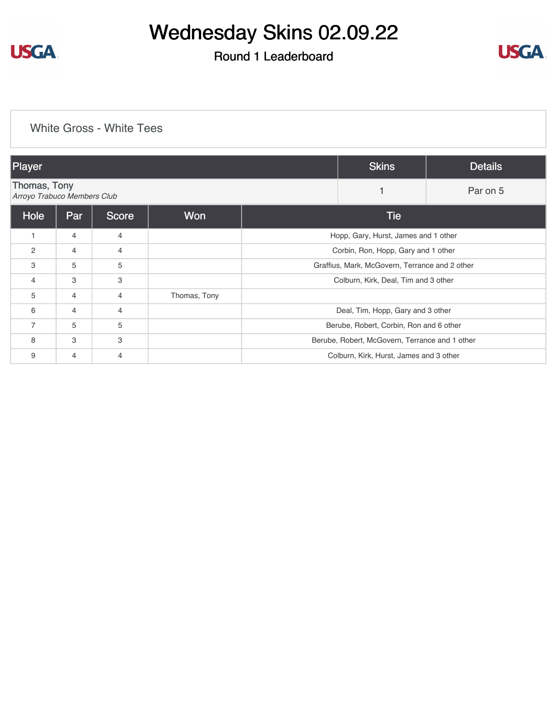

### Round 1 Leaderboard



#### [White Gross - White Tees](https://cdn2.golfgenius.com/v2tournaments/8201958457939615889?called_from=&round_index=1)

| Player                                      |                |                |              |                                                | <b>Skins</b>                                   | <b>Details</b> |
|---------------------------------------------|----------------|----------------|--------------|------------------------------------------------|------------------------------------------------|----------------|
| Thomas, Tony<br>Arroyo Trabuco Members Club |                |                |              |                                                |                                                | Par on 5       |
| Hole                                        | Par            | <b>Score</b>   | <b>Won</b>   |                                                | <b>Tie</b>                                     |                |
| 1                                           | $\overline{4}$ | $\overline{4}$ |              |                                                | Hopp, Gary, Hurst, James and 1 other           |                |
| $\overline{2}$                              | $\overline{4}$ | $\overline{4}$ |              | Corbin, Ron, Hopp, Gary and 1 other            |                                                |                |
| 3                                           | 5              | 5              |              | Graffius, Mark, McGovern, Terrance and 2 other |                                                |                |
| 4                                           | 3              | 3              |              | Colburn, Kirk, Deal, Tim and 3 other           |                                                |                |
| 5                                           | $\overline{4}$ | $\overline{4}$ | Thomas, Tony |                                                |                                                |                |
| 6                                           | $\overline{4}$ | $\overline{4}$ |              | Deal, Tim, Hopp, Gary and 3 other              |                                                |                |
| $\overline{7}$                              | 5              | 5              |              | Berube, Robert, Corbin, Ron and 6 other        |                                                |                |
| 8                                           | 3              | 3              |              |                                                | Berube, Robert, McGovern, Terrance and 1 other |                |
| 9                                           | 4              | $\overline{4}$ |              | Colburn, Kirk, Hurst, James and 3 other        |                                                |                |